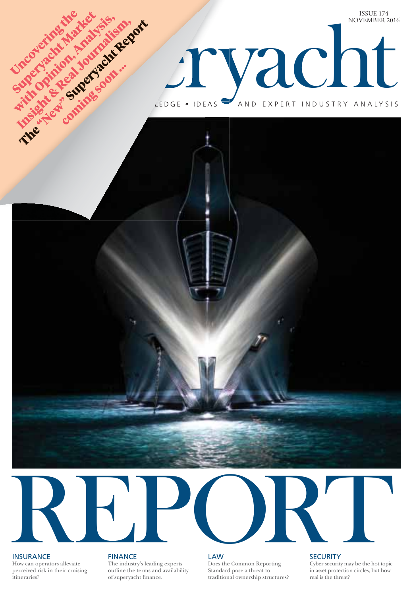



## **INSURANCE**

How can operators alleviate perceived risk in their cruising itineraries?

**FINANCE** The industry's leading experts outline the terms and availability of superyacht finance.

LAW Does the Common Reporting Standard pose a threat to traditional ownership structures? **SECURITY** 

Cyber security may be the hot topic in asset protection circles, but how real is the threat?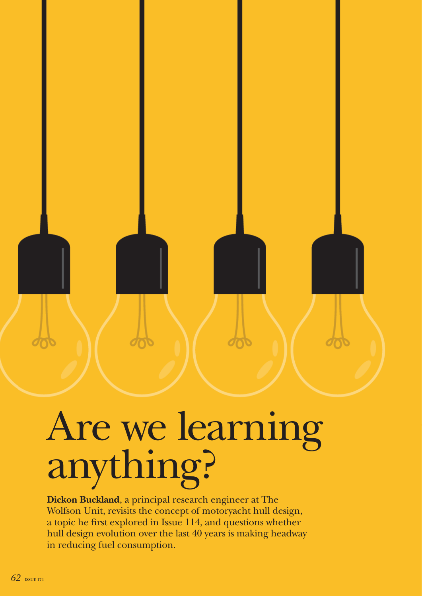

## Are we learning anything?

**Dickon Buckland**, a principal research engineer at The Wolfson Unit, revisits the concept of motoryacht hull design, a topic he first explored in Issue 114, and questions whether hull design evolution over the last 40 years is making headway in reducing fuel consumption.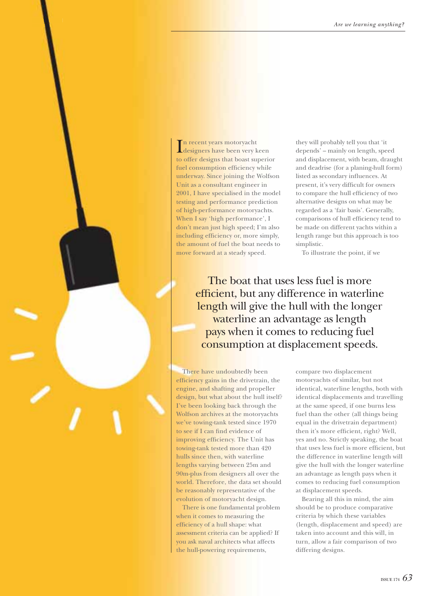In recent years motoryacht<br>designers have been very keen n recent years motoryacht to offer designs that boast superior fuel consumption efficiency while underway. Since joining the Wolfson Unit as a consultant engineer in 2001, I have specialised in the model testing and performance prediction of high-performance motoryachts. When I say 'high performance', I don't mean just high speed; I'm also including efficiency or, more simply, the amount of fuel the boat needs to move forward at a steady speed.

The Superyacht REPORT

> they will probably tell you that 'it depends' – mainly on length, speed and displacement, with beam, draught and deadrise (for a planing-hull form) listed as secondary influences. At present, it's very difficult for owners to compare the hull efficiency of two alternative designs on what may be regarded as a 'fair basis'. Generally, comparisons of hull efficiency tend to be made on different yachts within a length range but this approach is too simplistic.

To illustrate the point, if we

The boat that uses less fuel is more efficient, but any difference in waterline length will give the hull with the longer waterline an advantage as length pays when it comes to reducing fuel consumption at displacement speeds.

There have undoubtedly been efficiency gains in the drivetrain, the engine, and shafting and propeller design, but what about the hull itself? I've been looking back through the Wolfson archives at the motoryachts we've towing-tank tested since 1970 to see if I can find evidence of improving efficiency. The Unit has towing-tank tested more than 420 hulls since then, with waterline lengths varying between 25m and 90m-plus from designers all over the world. Therefore, the data set should be reasonably representative of the evolution of motoryacht design.

There is one fundamental problem when it comes to measuring the efficiency of a hull shape: what assessment criteria can be applied? If you ask naval architects what affects the hull-powering requirements,

compare two displacement motoryachts of similar, but not identical, waterline lengths, both with identical displacements and travelling at the same speed, if one burns less fuel than the other (all things being equal in the drivetrain department) then it's more efficient, right? Well, yes and no. Strictly speaking, the boat that uses less fuel is more efficient, but the difference in waterline length will give the hull with the longer waterline an advantage as length pays when it comes to reducing fuel consumption at displacement speeds.

Bearing all this in mind, the aim should be to produce comparative criteria by which these variables (length, displacement and speed) are taken into account and this will, in turn, allow a fair comparison of two differing designs.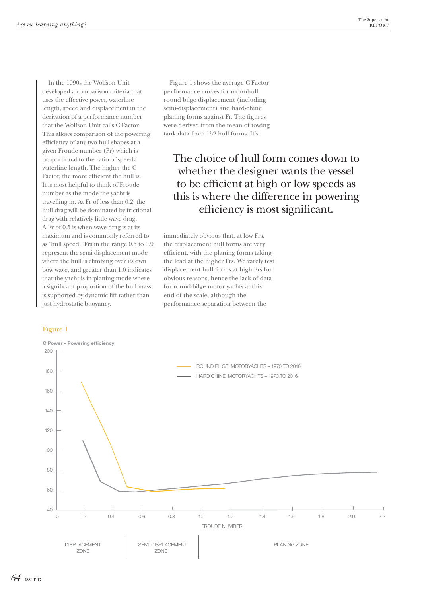In the 1990s the Wolfson Unit developed a comparison criteria that uses the effective power, waterline length, speed and displacement in the derivation of a performance number that the Wolfson Unit calls C Factor. This allows comparison of the powering efficiency of any two hull shapes at a given Froude number (Fr) which is proportional to the ratio of speed/ waterline length. The higher the C Factor, the more efficient the hull is. It is most helpful to think of Froude number as the mode the yacht is travelling in. At Fr of less than 0.2, the hull drag will be dominated by frictional drag with relatively little wave drag. A Fr of 0.5 is when wave drag is at its maximum and is commonly referred to as 'hull speed'. Frs in the range 0.5 to 0.9 represent the semi-displacement mode where the hull is climbing over its own bow wave, and greater than 1.0 indicates that the yacht is in planing mode where a significant proportion of the hull mass is supported by dynamic lift rather than just hydrostatic buoyancy.

## Figure 1



The choice of hull form comes down to whether the designer wants the vessel to be efficient at high or low speeds as this is where the difference in powering efficiency is most significant.

immediately obvious that, at low Frs, the displacement hull forms are very efficient, with the planing forms taking the lead at the higher Frs. We rarely test displacement hull forms at high Frs for obvious reasons, hence the lack of data for round-bilge motor yachts at this end of the scale, although the performance separation between the

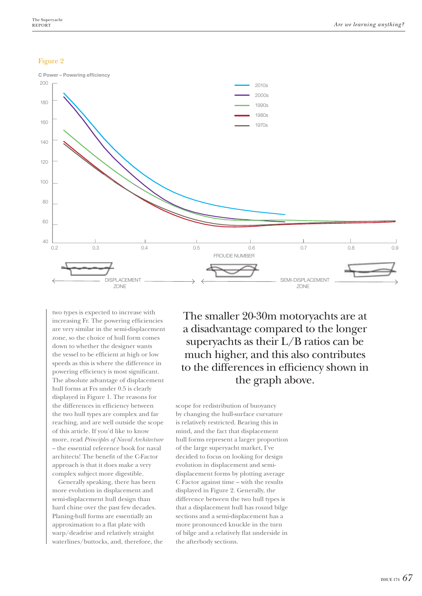## Figure 2



two types is expected to increase with increasing Fr. The powering efficiencies are very similar in the semi-displacement zone, so the choice of hull form comes down to whether the designer wants the vessel to be efficient at high or low speeds as this is where the difference in powering efficiency is most significant. The absolute advantage of displacement hull forms at Frs under 0.5 is clearly displayed in Figure 1. The reasons for the differences in efficiency between the two hull types are complex and far reaching, and are well outside the scope of this article. If you'd like to know more, read *Principles of Naval Architecture* – the essential reference book for naval architects! The benefit of the C-Factor approach is that it does make a very complex subject more digestible.

Generally speaking, there has been more evolution in displacement and semi-displacement hull design than hard chine over the past few decades. Planing-hull forms are essentially an approximation to a flat plate with warp/deadrise and relatively straight waterlines/buttocks, and, therefore, the

The smaller 20-30m motoryachts are at a disadvantage compared to the longer superyachts as their L/B ratios can be much higher, and this also contributes to the differences in efficiency shown in the graph above.

scope for redistribution of buoyancy by changing the hull-surface curvature is relatively restricted. Bearing this in mind, and the fact that displacement hull forms represent a larger proportion of the large superyacht market, I've decided to focus on looking for design evolution in displacement and semidisplacement forms by plotting average C Factor against time – with the results displayed in Figure 2. Generally, the difference between the two hull types is that a displacement hull has round bilge sections and a semi-displacement has a more pronounced knuckle in the turn of bilge and a relatively flat underside in the afterbody sections.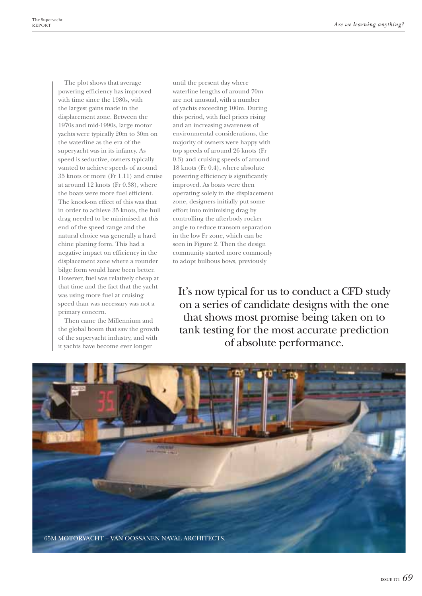The plot shows that average powering efficiency has improved with time since the 1980s, with the largest gains made in the displacement zone. Between the 1970s and mid-1990s, large motor yachts were typically 20m to 30m on the waterline as the era of the superyacht was in its infancy. As speed is seductive, owners typically wanted to achieve speeds of around 35 knots or more (Fr 1.11) and cruise at around 12 knots (Fr 0.38), where the boats were more fuel efficient. The knock-on effect of this was that in order to achieve 35 knots, the hull drag needed to be minimised at this end of the speed range and the natural choice was generally a hard chine planing form. This had a negative impact on efficiency in the displacement zone where a rounder bilge form would have been better. However, fuel was relatively cheap at that time and the fact that the yacht was using more fuel at cruising speed than was necessary was not a primary concern.

Then came the Millennium and the global boom that saw the growth of the superyacht industry, and with it yachts have become ever longer

until the present day where waterline lengths of around 70m are not unusual, with a number of yachts exceeding 100m. During this period, with fuel prices rising and an increasing awareness of environmental considerations, the majority of owners were happy with top speeds of around 26 knots (Fr 0.3) and cruising speeds of around 18 knots (Fr 0.4), where absolute powering efficiency is significantly improved. As boats were then operating solely in the displacement zone, designers initially put some effort into minimising drag by controlling the afterbody rocker angle to reduce transom separation in the low Fr zone, which can be seen in Figure 2. Then the design community started more commonly to adopt bulbous bows, previously

It's now typical for us to conduct a CFD study on a series of candidate designs with the one that shows most promise being taken on to tank testing for the most accurate prediction of absolute performance.